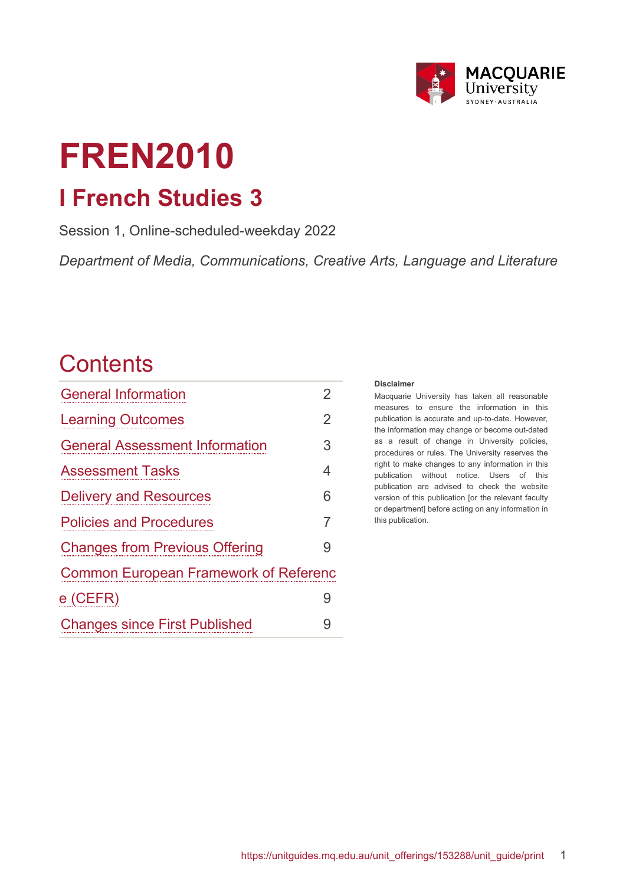

# **FREN2010 I French Studies 3**

Session 1, Online-scheduled-weekday 2022

*Department of Media, Communications, Creative Arts, Language and Literature*

## **Contents**

| <b>General Information</b>                   | 2              |  |
|----------------------------------------------|----------------|--|
| <b>Learning Outcomes</b>                     | $\overline{2}$ |  |
| <b>General Assessment Information</b>        | 3              |  |
| <b>Assessment Tasks</b>                      | 4              |  |
| <b>Delivery and Resources</b>                | 6              |  |
| <b>Policies and Procedures</b>               | $\overline{7}$ |  |
| <b>Changes from Previous Offering</b>        | 9              |  |
| <b>Common European Framework of Referenc</b> |                |  |
| $e$ (CEFR)                                   | 9              |  |
| <b>Changes since First Published</b>         | 9              |  |

#### **Disclaimer**

Macquarie University has taken all reasonable measures to ensure the information in this publication is accurate and up-to-date. However, the information may change or become out-dated as a result of change in University policies, procedures or rules. The University reserves the right to make changes to any information in this publication without notice. Users of this publication are advised to check the website version of this publication [or the relevant faculty or department] before acting on any information in this publication.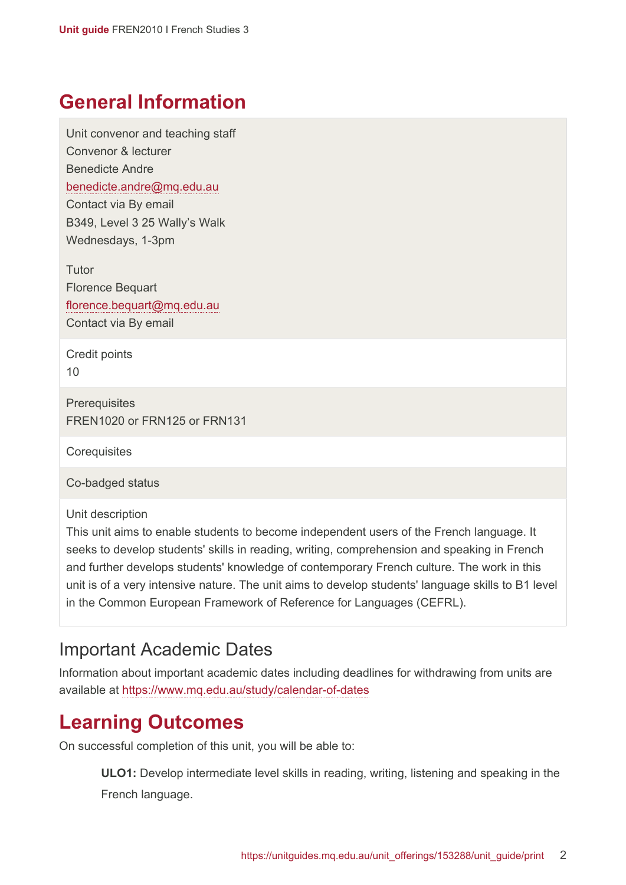### <span id="page-1-0"></span>**General Information**

Unit convenor and teaching staff Convenor & lecturer Benedicte Andre [benedicte.andre@mq.edu.au](mailto:benedicte.andre@mq.edu.au) Contact via By email B349, Level 3 25 Wally's Walk Wednesdays, 1-3pm

**Tutor** Florence Bequart [florence.bequart@mq.edu.au](mailto:florence.bequart@mq.edu.au) Contact via By email

Credit points 10

**Prerequisites** FREN1020 or FRN125 or FRN131

**Corequisites** 

Co-badged status

Unit description

This unit aims to enable students to become independent users of the French language. It seeks to develop students' skills in reading, writing, comprehension and speaking in French and further develops students' knowledge of contemporary French culture. The work in this unit is of a very intensive nature. The unit aims to develop students' language skills to B1 level in the Common European Framework of Reference for Languages (CEFRL).

#### Important Academic Dates

Information about important academic dates including deadlines for withdrawing from units are available at <https://www.mq.edu.au/study/calendar-of-dates>

## <span id="page-1-1"></span>**Learning Outcomes**

On successful completion of this unit, you will be able to:

**ULO1:** Develop intermediate level skills in reading, writing, listening and speaking in the French language.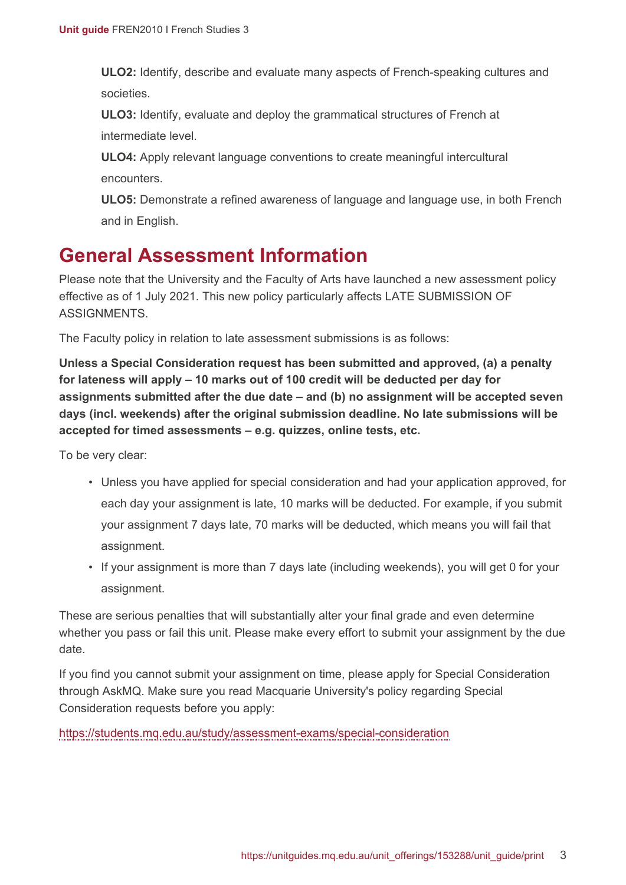**ULO2:** Identify, describe and evaluate many aspects of French-speaking cultures and societies.

**ULO3:** Identify, evaluate and deploy the grammatical structures of French at intermediate level.

**ULO4:** Apply relevant language conventions to create meaningful intercultural encounters.

**ULO5:** Demonstrate a refined awareness of language and language use, in both French and in English.

## <span id="page-2-0"></span>**General Assessment Information**

Please note that the University and the Faculty of Arts have launched a new assessment policy effective as of 1 July 2021. This new policy particularly affects LATE SUBMISSION OF **ASSIGNMENTS** 

The Faculty policy in relation to late assessment submissions is as follows:

**Unless a Special Consideration request has been submitted and approved, (a) a penalty for lateness will apply – 10 marks out of 100 credit will be deducted per day for assignments submitted after the due date – and (b) no assignment will be accepted seven days (incl. weekends) after the original submission deadline. No late submissions will be accepted for timed assessments – e.g. quizzes, online tests, etc.**

To be very clear:

- Unless you have applied for special consideration and had your application approved, for each day your assignment is late, 10 marks will be deducted. For example, if you submit your assignment 7 days late, 70 marks will be deducted, which means you will fail that assignment.
- If your assignment is more than 7 days late (including weekends), you will get 0 for your assignment.

These are serious penalties that will substantially alter your final grade and even determine whether you pass or fail this unit. Please make every effort to submit your assignment by the due date.

If you find you cannot submit your assignment on time, please apply for Special Consideration through AskMQ. Make sure you read Macquarie University's policy regarding Special Consideration requests before you apply:

<https://students.mq.edu.au/study/assessment-exams/special-consideration>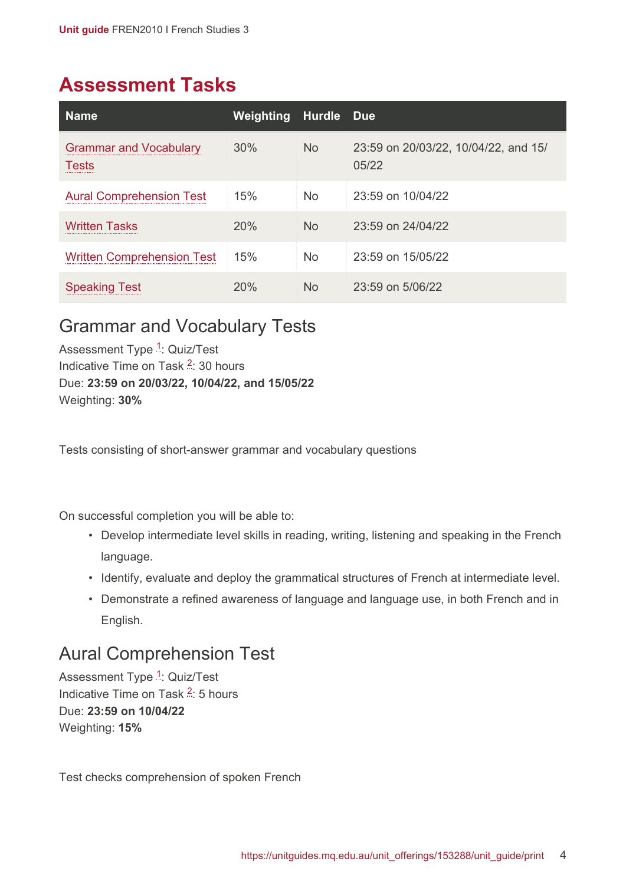## <span id="page-3-0"></span>**Assessment Tasks**

| <b>Name</b>                                   | Weighting | Hurdle         | <b>Due</b>                                    |
|-----------------------------------------------|-----------|----------------|-----------------------------------------------|
| <b>Grammar and Vocabulary</b><br><b>Tests</b> | 30%       | <b>No</b>      | 23:59 on 20/03/22, 10/04/22, and 15/<br>05/22 |
| <b>Aural Comprehension Test</b>               | 15%       | <b>No</b>      | 23:59 on 10/04/22                             |
| <b>Written Tasks</b>                          | 20%       | <b>No</b>      | 23:59 on 24/04/22                             |
| <b>Written Comprehension Test</b>             | 15%       | <b>No</b>      | 23:59 on 15/05/22                             |
| <b>Speaking Test</b>                          | 20%       | N <sub>o</sub> | $23:59$ on $5/06/22$                          |

#### <span id="page-3-1"></span>Grammar and Vocabulary Tests

Assessment Type <sup>[1](#page-5-2)</sup>: Quiz/Test Indicative Time on Task <sup>[2](#page-5-3)</sup>: 30 hours Due: **23:59 on 20/03/22, 10/04/22, and 15/05/22** Weighting: **30%**

Tests consisting of short-answer grammar and vocabulary questions

On successful completion you will be able to:

- Develop intermediate level skills in reading, writing, listening and speaking in the French language.
- Identify, evaluate and deploy the grammatical structures of French at intermediate level.
- Demonstrate a refined awareness of language and language use, in both French and in English.

#### <span id="page-3-2"></span>Aural Comprehension Test

Assessment Type <sup>[1](#page-5-2)</sup>: Quiz/Test Indicative Time on Task <sup>[2](#page-5-3)</sup>: 5 hours Due: **23:59 on 10/04/22** Weighting: **15%**

Test checks comprehension of spoken French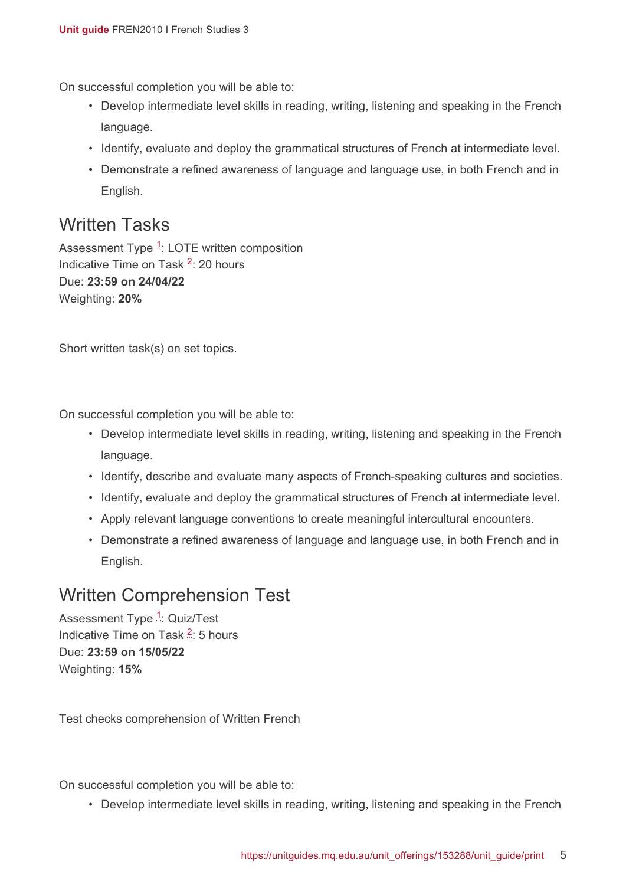On successful completion you will be able to:

- Develop intermediate level skills in reading, writing, listening and speaking in the French language.
- Identify, evaluate and deploy the grammatical structures of French at intermediate level.
- Demonstrate a refined awareness of language and language use, in both French and in English.

#### <span id="page-4-0"></span>Written Tasks

Assessment Type <sup>[1](#page-5-2)</sup>: LOTE written composition Indicative Time on Task <sup>[2](#page-5-3)</sup>: 20 hours Due: **23:59 on 24/04/22** Weighting: **20%**

Short written task(s) on set topics.

On successful completion you will be able to:

- Develop intermediate level skills in reading, writing, listening and speaking in the French language.
- Identify, describe and evaluate many aspects of French-speaking cultures and societies.
- Identify, evaluate and deploy the grammatical structures of French at intermediate level.
- Apply relevant language conventions to create meaningful intercultural encounters.
- Demonstrate a refined awareness of language and language use, in both French and in English.

#### <span id="page-4-1"></span>Written Comprehension Test

Assessment Type <sup>[1](#page-5-2)</sup>: Quiz/Test Indicative Time on Task <sup>[2](#page-5-3)</sup>: 5 hours Due: **23:59 on 15/05/22** Weighting: **15%**

Test checks comprehension of Written French

On successful completion you will be able to:

• Develop intermediate level skills in reading, writing, listening and speaking in the French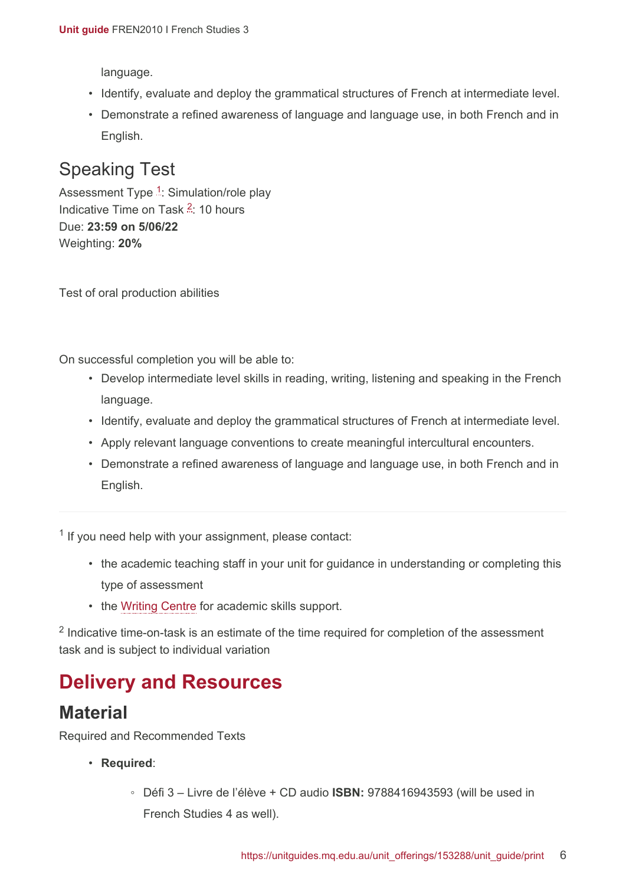language.

- Identify, evaluate and deploy the grammatical structures of French at intermediate level.
- Demonstrate a refined awareness of language and language use, in both French and in English.

### <span id="page-5-1"></span>Speaking Test

Assessment Type <sup>[1](#page-5-2)</sup>: Simulation/role play Indicative Time on Task <sup>[2](#page-5-3)</sup>: 10 hours Due: **23:59 on 5/06/22** Weighting: **20%**

Test of oral production abilities

On successful completion you will be able to:

- Develop intermediate level skills in reading, writing, listening and speaking in the French language.
- Identify, evaluate and deploy the grammatical structures of French at intermediate level.
- Apply relevant language conventions to create meaningful intercultural encounters.
- Demonstrate a refined awareness of language and language use, in both French and in English.

<span id="page-5-2"></span><sup>1</sup> If you need help with your assignment, please contact:

- the academic teaching staff in your unit for guidance in understanding or completing this type of assessment
- the [Writing Centre](https://students.mq.edu.au/support/study/skills-development) for academic skills support.

<span id="page-5-3"></span> $2$  Indicative time-on-task is an estimate of the time required for completion of the assessment task and is subject to individual variation

## <span id="page-5-0"></span>**Delivery and Resources**

#### **Material**

Required and Recommended Texts

- **Required**:
	- Défi 3 Livre de l'élève + CD audio **ISBN:** 9788416943593 (will be used in French Studies 4 as well).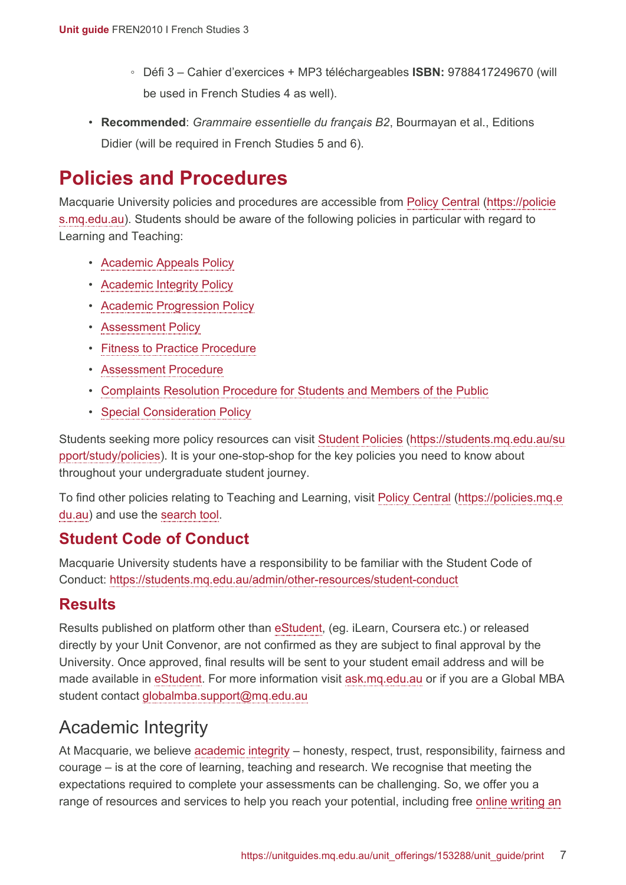- Défi 3 Cahier d'exercices + MP3 téléchargeables **ISBN:** 9788417249670 (will be used in French Studies 4 as well).
- **Recommended**: *Grammaire essentielle du français B2*, Bourmayan et al., Editions Didier (will be required in French Studies 5 and 6).

## <span id="page-6-0"></span>**Policies and Procedures**

Macquarie University policies and procedures are accessible from [Policy Central](https://policies.mq.edu.au/) [\(https://policie](https://policies.mq.edu.au/) [s.mq.edu.au](https://policies.mq.edu.au/)). Students should be aware of the following policies in particular with regard to Learning and Teaching:

- [Academic Appeals Policy](https://policies.mq.edu.au/document/view.php?id=1)
- [Academic Integrity Policy](https://policies.mq.edu.au/document/view.php?id=3)
- [Academic Progression Policy](https://policies.mq.edu.au/document/view.php?id=4)
- [Assessment Policy](https://policies.mq.edu.au/document/view.php?id=17)
- [Fitness to Practice Procedure](https://policies.mq.edu.au/document/view.php?id=6)
- [Assessment Procedure](https://policies.mq.edu.au/document/view.php?id=277)
- [Complaints Resolution Procedure for Students and Members of the Public](https://policies.mq.edu.au/document/view.php?id=282)
- [Special Consideration Policy](https://policies.mq.edu.au/document/view.php?id=136)

Students seeking more policy resources can visit [Student Policies](https://students.mq.edu.au/support/study/policies) [\(https://students.mq.edu.au/su](https://students.mq.edu.au/support/study/policies) [pport/study/policies\)](https://students.mq.edu.au/support/study/policies). It is your one-stop-shop for the key policies you need to know about throughout your undergraduate student journey.

To find other policies relating to Teaching and Learning, visit [Policy Central](https://policies.mq.edu.au/) ([https://policies.mq.e](https://policies.mq.edu.au/) [du.au](https://policies.mq.edu.au/)) and use the [search](https://policies.mq.edu.au/search.php) tool.

#### **Student Code of Conduct**

Macquarie University students have a responsibility to be familiar with the Student Code of Conduct: <https://students.mq.edu.au/admin/other-resources/student-conduct>

#### **Results**

Results published on platform other than [eStudent](https://student1.mq.edu.au/), (eg. iLearn, Coursera etc.) or released directly by your Unit Convenor, are not confirmed as they are subject to final approval by the University. Once approved, final results will be sent to your student email address and will be made available in [eStudent.](https://student1.mq.edu.au/) For more information visit [ask.mq.edu.au](http://ask.mq.edu.au/) or if you are a Global MBA student contact [globalmba.support@mq.edu.au](mailto:globalmba.support@mq.edu.au)

## Academic Integrity

At Macquarie, we believe [academic integrity](https://students.mq.edu.au/study/assessment-exams/academic-integrity) – honesty, respect, trust, responsibility, fairness and courage – is at the core of learning, teaching and research. We recognise that meeting the expectations required to complete your assessments can be challenging. So, we offer you a range of resources and services to help you reach your potential, including free [online writing an](https://students.mq.edu.au/support/study)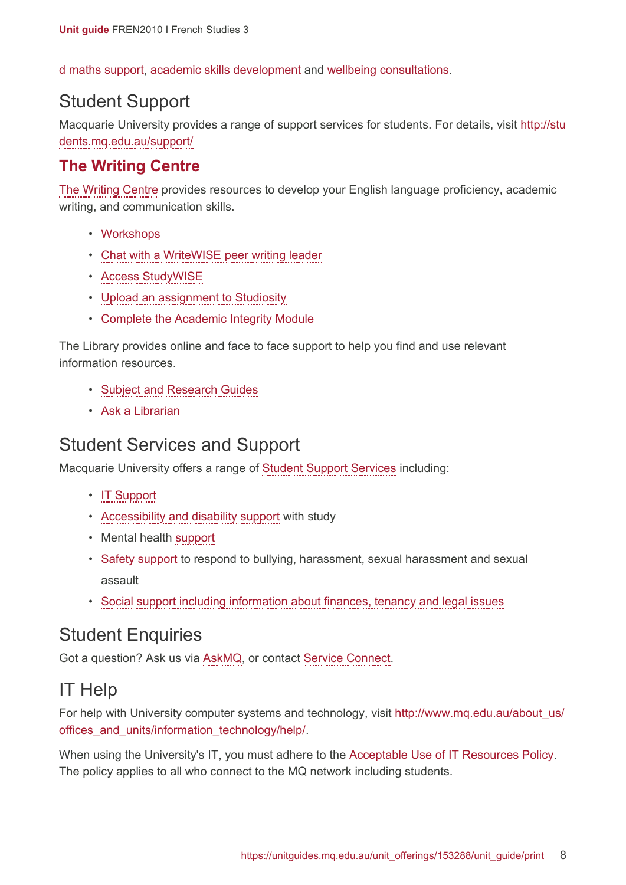[d maths support,](https://students.mq.edu.au/support/study) [academic skills development](https://students.mq.edu.au/support/study/writing) and [wellbeing consultations](https://students.mq.edu.au/support/personal).

#### Student Support

Macquarie University provides a range of support services for students. For details, visit [http://stu](http://students.mq.edu.au/support/) [dents.mq.edu.au/support/](http://students.mq.edu.au/support/)

#### **The Writing Centre**

[The Writing Centre](https://students.mq.edu.au/support/study/writing) provides resources to develop your English language proficiency, academic writing, and communication skills.

- [Workshops](https://students.mq.edu.au/support/study/writing/workshops)
- [Chat with a WriteWISE peer writing leader](https://students.mq.edu.au/support/study/writing/writewise)
- [Access StudyWISE](http://ilearn.mq.edu.au/course/view.php?id=16580)
- [Upload an assignment to Studiosity](https://students.mq.edu.au/support/study/writing/studiosity)
- Complete [the Academic Integrity Module](https://ilearn.mq.edu.au/course/view.php?id=11590)

The Library provides online and face to face support to help you find and use relevant information resources.

- [Subject and Research Guides](http://libguides.mq.edu.au/?b=s)
- [Ask a Librarian](https://www.mq.edu.au/about/campus-services-and-facilities/library/contact-us)

#### Student Services and Support

Macquarie University offers a range of [Student Support Services](https://students.mq.edu.au/support) including:

- [IT Support](https://students.mq.edu.au/support/technology/service-desk)
- [Accessibility and disability support](https://students.mq.edu.au/support/accessibility-disability) with study
- Mental health [support](https://students.mq.edu.au/support/personal/counselling)
- [Safety support](https://students.mq.edu.au/support/personal/social-support) to respond to bullying, harassment, sexual harassment and sexual assault
- [Social support including information about finances, tenancy and legal issues](https://students.mq.edu.au/support/personal/social-support)

#### Student Enquiries

Got a question? Ask us via [AskMQ](https://students.mq.edu.au/support/centres/student-connect), or contact [Service Connect](https://students.mq.edu.au/support/centres/student-connect).

### IT Help

For help with University computer systems and technology, visit [http://www.mq.edu.au/about\\_us/](http://www.mq.edu.au/about_us/offices_and_units/information_technology/help/) offices and units/information technology/help/.

When using the University's IT, you must adhere to the [Acceptable Use of IT Resources Policy.](https://policies.mq.edu.au/document/view.php?id=234) The policy applies to all who connect to the MQ network including students.